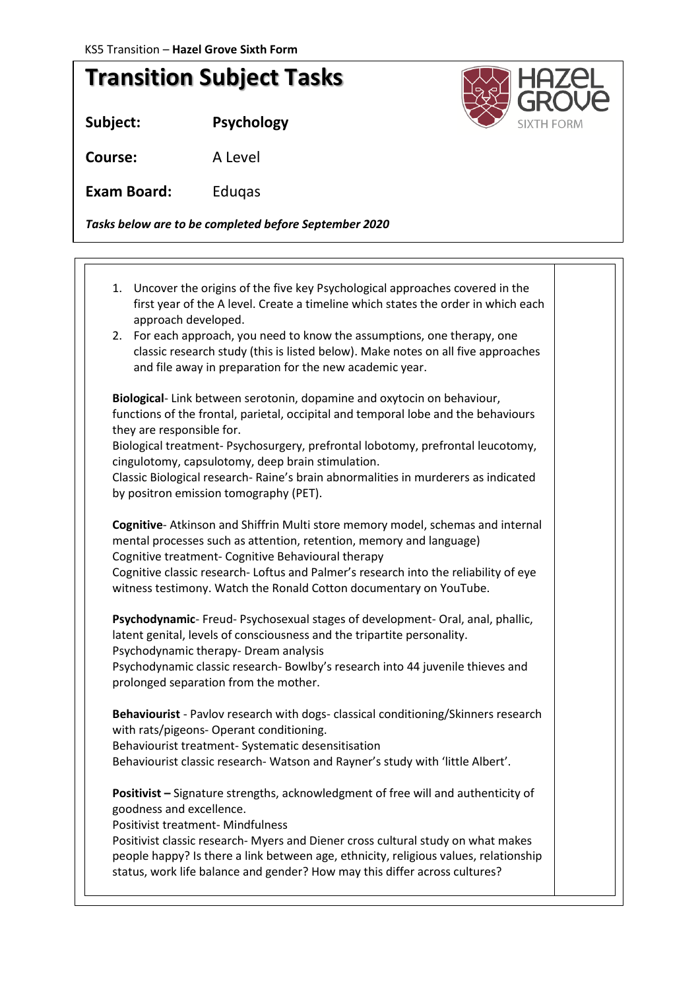## **Transition Subject Tasks**

**Subject: Psychology**

**Course:** A Level

**Exam Board:** Eduqas

*Tasks below are to be completed before September 2020*

1. Uncover the origins of the five key Psychological approaches covered in the first year of the A level. Create a timeline which states the order in which each approach developed. 2. For each approach, you need to know the assumptions, one therapy, one classic research study (this is listed below). Make notes on all five approaches and file away in preparation for the new academic year. **Biological**- Link between serotonin, dopamine and oxytocin on behaviour, functions of the frontal, parietal, occipital and temporal lobe and the behaviours they are responsible for. Biological treatment- Psychosurgery, prefrontal lobotomy, prefrontal leucotomy, cingulotomy, capsulotomy, deep brain stimulation. Classic Biological research- Raine's brain abnormalities in murderers as indicated by positron emission tomography (PET). **Cognitive**- Atkinson and Shiffrin Multi store memory model, schemas and internal mental processes such as attention, retention, memory and language) Cognitive treatment- Cognitive Behavioural therapy Cognitive classic research- Loftus and Palmer's research into the reliability of eye witness testimony. Watch the Ronald Cotton documentary on YouTube. **Psychodynamic**- Freud- Psychosexual stages of development- Oral, anal, phallic, latent genital, levels of consciousness and the tripartite personality. Psychodynamic therapy- Dream analysis Psychodynamic classic research- Bowlby's research into 44 juvenile thieves and prolonged separation from the mother. **Behaviourist** - Pavlov research with dogs- classical conditioning/Skinners research with rats/pigeons- Operant conditioning. Behaviourist treatment- Systematic desensitisation Behaviourist classic research- Watson and Rayner's study with 'little Albert'. **Positivist –** Signature strengths, acknowledgment of free will and authenticity of goodness and excellence. Positivist treatment- Mindfulness Positivist classic research- Myers and Diener cross cultural study on what makes people happy? Is there a link between age, ethnicity, religious values, relationship status, work life balance and gender? How may this differ across cultures?